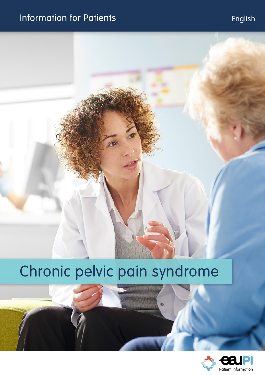# Information for Patients **English**

# Chronic pelvic pain syndrome

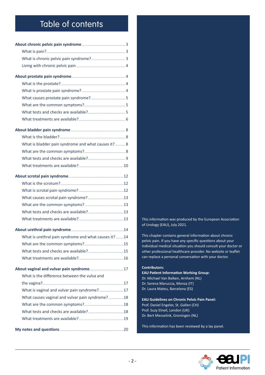## Table of contents

| What is bladder pain syndrome and what causes it? 8  |  |
|------------------------------------------------------|--|
|                                                      |  |
|                                                      |  |
|                                                      |  |
|                                                      |  |
|                                                      |  |
|                                                      |  |
|                                                      |  |
|                                                      |  |
|                                                      |  |
|                                                      |  |
|                                                      |  |
| What is urethral pain syndrome and what causes it?14 |  |
|                                                      |  |
|                                                      |  |
|                                                      |  |
|                                                      |  |
| What is the difference between the vulva and         |  |
|                                                      |  |
| What is vaginal and vulvar pain syndrome?17          |  |
| What causes vaginal and vulvar pain syndrome?18      |  |
|                                                      |  |
|                                                      |  |
|                                                      |  |
|                                                      |  |

This information was produced by the European Association of Urology (EAU), July 2021.

This chapter contains general information about chronic pelvic pain. If you have any specific questions about your individual medical situation you should consult your doctor or other professional healthcare provider. No website or leaflet can replace a personal conversation with your doctor.

#### **Contributors:**

**EAU Patient Information Working Group:** Dr. Michael Van Balken, Arnhem (NL) Dr. Serena Maruccia, Monza (IT) Dr. Laura Mateu, Barcelona (ES)

**EAU Guidelines on Chronic Pelvic Pain Panel:** Prof. Daniel Engeler, St. Gallen (CH) Prof. Suzy Elneil, London (UK) Dr. Bert Messelink, Groningen (NL)

This information has been reviewed by a lay panel.

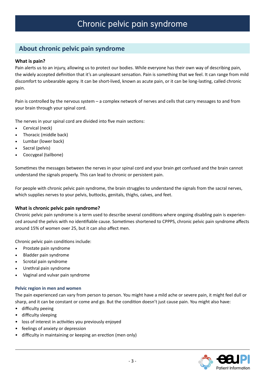## <span id="page-2-0"></span>**About chronic pelvic pain syndrome**

#### **What is pain?**

Pain alerts us to an injury, allowing us to protect our bodies. While everyone has their own way of describing pain, the widely accepted definition that it's an unpleasant sensation. Pain is something that we feel. It can range from mild discomfort to unbearable agony. It can be short-lived, known as acute pain, or it can be long-lasting, called chronic pain.

Pain is controlled by the nervous system – a complex network of nerves and cells that carry messages to and from your brain through your spinal cord.

The nerves in your spinal cord are divided into five main sections:

- Cervical (neck)
- Thoracic (middle back)
- Lumbar (lower back)
- Sacral (pelvis)
- Coccygeal (tailbone)

Sometimes the messages between the nerves in your spinal cord and your brain get confused and the brain cannot understand the signals properly. This can lead to chronic or persistent pain.

For people with chronic pelvic pain syndrome, the brain struggles to understand the signals from the sacral nerves, which supplies nerves to your pelvis, buttocks, genitals, thighs, calves, and feet.

#### **What is chronic pelvic pain syndrome?**

Chronic pelvic pain syndrome is a term used to describe several conditions where ongoing disabling pain is experienced around the pelvis with no identifiable cause. Sometimes shortened to CPPPS, chronic pelvic pain syndrome affects around 15% of women over 25, but it can also affect men.

Chronic pelvic pain conditions include:

- Prostate pain syndrome
- Bladder pain syndrome
- Scrotal pain syndrome
- Urethral pain syndrome
- Vaginal and vulvar pain syndrome

#### **Pelvic region in men and women**

The pain experienced can vary from person to person. You might have a mild ache or severe pain, it might feel dull or sharp, and it can be constant or come and go. But the condition doesn't just cause pain. You might also have:

- • difficulty peeing
- • difficulty sleeping
- loss of interest in activities you previously enjoyed
- feelings of anxiety or depression
- difficulty in maintaining or keeping an erection (men only)

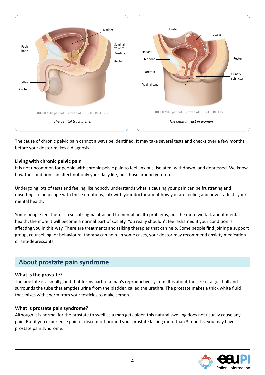<span id="page-3-0"></span>

The cause of chronic pelvic pain cannot always be identified. It may take several tests and checks over a few months before your doctor makes a diagnosis.

#### **Living with chronic pelvic pain**

It is not uncommon for people with chronic pelvic pain to feel anxious, isolated, withdrawn, and depressed. We know how the condition can affect not only your daily life, but those around you too.

Undergoing lots of tests and feeling like nobody understands what is causing your pain can be frustrating and upsetting. To help cope with these emotions, talk with your doctor about how you are feeling and how it affects your mental health.

Some people feel there is a social stigma attached to mental health problems, but the more we talk about mental health, the more it will become a normal part of society. You really shouldn't feel ashamed if your condition is affecting you in this way. There are treatments and talking therapies that can help. Some people find joining a support group, counselling, or behavioural therapy can help. In some cases, your doctor may recommend anxiety medication or anti-depressants.

## **About prostate pain syndrome**

#### **What is the prostate?**

The prostate is a small gland that forms part of a man's reproductive system. It is about the size of a golf ball and surrounds the tube that empties urine from the bladder, called the urethra. The prostate makes a thick white fluid that mixes with sperm from your testicles to make semen.

#### **What is prostate pain syndrome?**

Although it is normal for the prostate to swell as a man gets older, this natural swelling does not usually cause any pain. But if you experience pain or discomfort around your prostate lasting more than 3 months, you may have prostate pain syndrome.

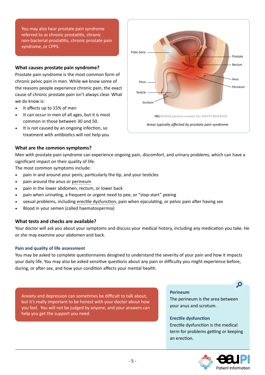<span id="page-4-0"></span>You may also hear prostate pain syndrome referred to as chronic prostatitis, chronic non-bacterial prostatitis, chronic prostate pain syndrome, or CPPS.

#### **What causes prostate pain syndrome?**

Prostate pain syndrome is the most common form of chronic pelvic pain in men. While we know some of the reasons people experience chronic pain, the exact cause of chronic prostate pain isn't always clear. What we do know is:

- It affects up to 15% of men
- It can occur in men of all ages, but it is most common in those between 30 and 50.
- It is not caused by an ongoing infection, so treatment with antibiotics will not help you



#### **What are the common symptoms?**

Men with prostate pain syndrome can experience ongoing pain, discomfort, and urinary problems, which can have a significant impact on their quality of life.

The most common symptoms include:

- pain in and around your penis, particularly the tip, and your testicles
- pain around the anus or perineum
- pain in the lower abdomen, rectum, or lower back
- pain when urinating, a frequent or urgent need to pee, or "stop-start" peeing
- sexual problems, including erectile dysfunction, pain when ejaculating, or pelvic pain after having sex
- Blood in your semen (called haematospermia)

#### **What tests and checks are available?**

Your doctor will ask you about your symptoms and discuss your medical history, including any medication you take. He or she may examine your abdomen and back.

#### **Pain and quality of life assessment**

You may be asked to complete questionnaires designed to understand the severity of your pain and how it impacts your daily life. You may also be asked sensitive questions about any pain or difficulty you might experience before, during, or after sex, and how your condition affects your mental health.

Anxiety and depression can sometimes be difficult to talk about, but it's really important to be honest with your doctor about how you feel. You will not be judged by anyone, and your answers can help you get the support you need.

**Perineum**

The perineum is the area between your anus and scrotum.

#### **Erectile dysfunction**

Erectile dysfunction is the medical term for problems getting or keeping an erection.



 $\mathbf{Q}$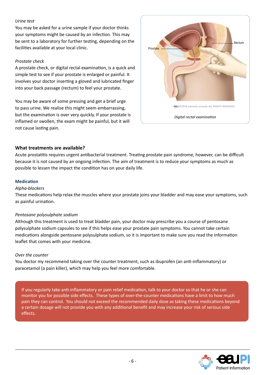#### <span id="page-5-0"></span>*Urine test*

You may be asked for a urine sample if your doctor thinks your symptoms might be caused by an infection. This may be sent to a laboratory for further testing, depending on the facilities available at your local clinic.

#### *Prostate check*

A prostate check, or digital rectal examination, is a quick and simple test to see if your prostate is enlarged or painful. It involves your doctor inserting a gloved and lubricated finger into your back passage (rectum) to feel your prostate.

You may be aware of some pressing and get a brief urge to pass urine. We realise this might seem embarrassing, but the examination is over very quickly. If your prostate is inflamed or swollen, the exam might be painful, but it will not cause lasting pain.



#### **What treatments are available?**

Acute prostatitis requires urgent antibacterial treatment. Treating prostate pain syndrome, however, can be difficult because it is not caused by an ongoing infection. The aim of treatment is to reduce your symptoms as much as possible to lessen the impact the condition has on your daily life.

#### **Medication**

#### *Alpha-blockers*

These medications help relax the muscles where your prostate joins your bladder and may ease your symptoms, such as painful urination.

#### *Pentosane polysulphate sodium*

Although this treatment is used to treat bladder pain, your doctor may prescribe you a course of pentosane polysulphate sodium capsules to see if this helps ease your prostate pain symptoms. You cannot take certain medications alongside pentosane polysulphate sodium, so it is important to make sure you read the information leaflet that comes with your medicine.

#### *Over the counter*

You doctor my recommend taking over the counter treatment, such as ibuprofen (an anti-inflammatory) or paracetamol (a pain killer), which may help you feel more comfortable.

If you regularly take anti-inflammatory or pain relief medication, talk to your doctor so that he or she can monitor you for possible side effects. These types of over-the-counter medications have a limit to how much pain they can control. You should not exceed the recommended daily dose as taking these medications beyond a certain dosage will not provide you with any additional benefit and may increase your risk of serious side effects.

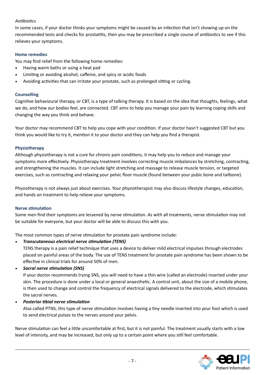#### *Antibiotics*

In some cases, if your doctor thinks your symptoms might be caused by an infection that isn't showing up on the recommended tests and checks for prostatitis, then you may be prescribed a single course of antibiotics to see if this relieves your symptoms.

#### **Home remedies**

You may find relief from the following home remedies:

- Having warm baths or using a heat pad
- Limiting or avoiding alcohol, caffeine, and spicy or acidic foods
- Avoiding activities that can irritate your prostate, such as prolonged sitting or cycling.

#### **Counselling**

Cognitive behavioural therapy, or CBT, is a type of talking therapy. It is based on the idea that thoughts, feelings, what we do, and how our bodies feel, are connected. CBT aims to help you manage your pain by learning coping skills and changing the way you think and behave.

Your doctor may recommend CBT to help you cope with your condition. If your doctor hasn't suggested CBT but you think you would like to try it, mention it to your doctor and they can help you find a therapist.

#### **Physiotherapy**

Although physiotherapy is not a cure for chronic pain conditions, it may help you to reduce and manage your symptoms more effectively. Physiotherapy treatment involves correcting muscle imbalances by stretching, contracting, and strengthening the muscles. It can include light stretching and massage to release muscle tension, or targeted exercises, such as contracting and relaxing your pelvic floor muscle (found between your pubic bone and tailbone).

Physiotherapy is not always just about exercises. Your physiotherapist may also discuss lifestyle changes, education, and hands on treatment to help relieve your symptoms.

#### **Nerve stimulation**

Some men find their symptoms are lessened by nerve stimulation. As with all treatments, nerve stimulation may not be suitable for everyone, but your doctor will be able to discuss this with you.

The most common types of nerve stimulation for prostate pain syndrome include:

*• Transcutaneous electrical nerve stimulation (TENS)*

TENS therapy is a pain relief technique that uses a device to deliver mild electrical impulses through electrodes placed on painful areas of the body. The use of TENS treatment for prostate pain syndrome has been shown to be effective in clinical trials for around 50% of men.

*• Sacral nerve stimulation (SNS)*

If your doctor recommends trying SNS, you will need to have a thin wire (called an electrode) inserted under your skin. The procedure is done under a local or general anaesthetic. A control unit, about the size of a mobile phone, is then used to change and control the frequency of electrical signals delivered to the electrode, which stimulates the sacral nerves.

*• Posterior tibial nerve stimulation*

Also called PTNS, this type of nerve stimulation involves having a tiny needle inserted into your foot which is used to send electrical pulses to the nerves around your pelvis.

Nerve stimulation can feel a little uncomfortable at first, but it is not painful. The treatment usually starts with a low level of intensity, and may be increased, but only up to a certain point where you still feel comfortable.

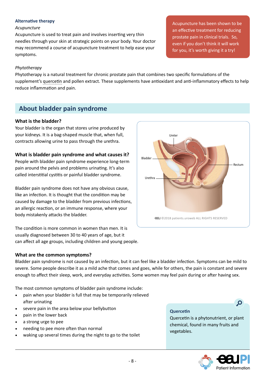#### <span id="page-7-0"></span>**Alternative therapy**

#### *Acupuncture*

Acupuncture is used to treat pain and involves inserting very thin needles through your skin at strategic points on your body. Your doctor may recommend a course of acupuncture treatment to help ease your symptoms.

*Phytotherapy* 

Phytotherapy is a natural treatment for chronic prostate pain that combines two specific formulations of the supplement's quercetin and pollen extract. These supplements have antioxidant and anti-inflammatory effects to help reduce inflammation and pain.

## **About bladder pain syndrome**

#### **What is the bladder?**

Your bladder is the organ that stores urine produced by your kidneys. It is a bag-shaped muscle that, when full, contracts allowing urine to pass through the urethra.

#### **What is bladder pain syndrome and what causes it?**

People with bladder pain syndrome experience long-term pain around the pelvis and problems urinating. It's also called interstitial cystitis or painful bladder syndrome.

Bladder pain syndrome does not have any obvious cause, like an infection. It is thought that the condition may be caused by damage to the bladder from previous infections, an allergic reaction, or an immune response, where your body mistakenly attacks the bladder.

The condition is more common in women than men. It is usually diagnosed between 30 to 40 years of age, but it can affect all age groups, including children and young people.



Bladder pain syndrome is not caused by an infection, but it can feel like a bladder infection. Symptoms can be mild to severe. Some people describe it as a mild ache that comes and goes, while for others, the pain is constant and severe enough to affect their sleep, work, and everyday activities. Some women may feel pain during or after having sex.

The most common symptoms of bladder pain syndrome include:

- pain when your bladder is full that may be temporarily relieved after urinating
- severe pain in the area below your bellybutton
- pain in the lower back
- a strong urge to pee
- needing to pee more often than normal
- waking up several times during the night to go to the toilet

#### **Quercetin**

Quercetin is a phytonutrient, or plant chemical, found in many fruits and vegetables.



 $\mathbf{Q}$ 

Acupuncture has been shown to be an effective treatment for reducing prostate pain in clinical trials. So, even if you don't think it will work for you, it's worth giving it a try!

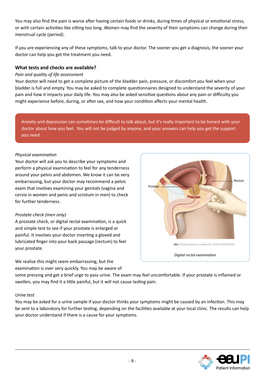<span id="page-8-0"></span>You may also find the pain is worse after having certain foods or drinks, during times of physical or emotional stress, or with certain activities like sitting too long. Women may find the severity of their symptoms can change during their menstrual cycle (period).

If you are experiencing any of these symptoms, talk to your doctor. The sooner you get a diagnosis, the sooner your doctor can help you get the treatment you need.

#### **What tests and checks are available?**

#### *Pain and quality of life assessment*

Your doctor will need to get a complete picture of the bladder pain, pressure, or discomfort you feel when your bladder is full and empty. You may be asked to complete questionnaires designed to understand the severity of your pain and how it impacts your daily life. You may also be asked sensitive questions about any pain or difficulty you might experience before, during, or after sex, and how your condition affects your mental health.

Anxiety and depression can sometimes be difficult to talk about, but it's really important to be honest with your doctor about how you feel. You will not be judged by anyone, and your answers can help you get the support you need.

#### *Physical examination*

Your doctor will ask you to describe your symptoms and perform a physical examination to feel for any tenderness around your pelvis and abdomen. We know it can be very embarrassing, but your doctor may recommend a pelvic exam that involves examining your genitals (vagina and cervix in women and penis and scrotum in men) to check for further tenderness.

#### *Prostate check (men only)*

A prostate check, or digital rectal examination, is a quick and simple test to see if your prostate is enlarged or painful. It involves your doctor inserting a gloved and lubricated finger into your back passage (rectum) to feel your prostate.

We realise this might seem embarrassing, but the examination is over very quickly. You may be aware of



some pressing and get a brief urge to pass urine. The exam may feel uncomfortable. If your prostate is inflamed or swollen, you may find it a little painful, but it will not cause lasting pain.

#### *Urine test*

You may be asked for a urine sample if your doctor thinks your symptoms might be caused by an infection. This may be sent to a laboratory for further testing, depending on the facilities available at your local clinic. The results can help your doctor understand if there is a cause for your symptoms.

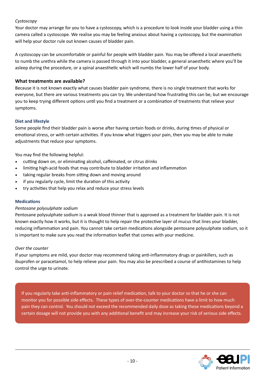#### <span id="page-9-0"></span>*Cystoscopy*

Your doctor may arrange for you to have a cystoscopy, which is a procedure to look inside your bladder using a thin camera called a cystoscope. We realise you may be feeling anxious about having a cystoscopy, but the examination will help your doctor rule out known causes of bladder pain.

A cystoscopy can be uncomfortable or painful for people with bladder pain. You may be offered a local anaesthetic to numb the urethra while the camera is passed through it into your bladder, a general anaesthetic where you'll be asleep during the procedure, or a spinal anaesthetic which will numbs the lower half of your body.

#### **What treatments are available?**

Because it is not known exactly what causes bladder pain syndrome, there is no single treatment that works for everyone, but there are various treatments you can try. We understand how frustrating this can be, but we encourage you to keep trying different options until you find a treatment or a combination of treatments that relieve your symptoms.

#### **Diet and lifestyle**

Some people find their bladder pain is worse after having certain foods or drinks, during times of physical or emotional stress, or with certain activities. If you know what triggers your pain, then you may be able to make adjustments that reduce your symptoms.

You may find the following helpful:

- cutting down on, or eliminating alcohol, caffeinated, or citrus drinks
- limiting high-acid foods that may contribute to bladder irritation and inflammation
- taking regular breaks from sitting down and moving around
- if you regularly cycle, limit the duration of this activity
- try activities that help you relax and reduce your stress levels

#### **Medications**

#### *Pentosane polysulphate sodium*

Pentosane polysulphate sodium is a weak blood thinner that is approved as a treatment for bladder pain. It is not known exactly how it works, but it is thought to help repair the protective layer of mucus that lines your bladder, reducing inflammation and pain. You cannot take certain medications alongside pentosane polysulphate sodium, so it is important to make sure you read the information leaflet that comes with your medicine.

#### *Over the counter*

If your symptoms are mild, your doctor may recommend taking anti-inflammatory drugs or painkillers, such as ibuprofen or paracetamol, to help relieve your pain. You may also be prescribed a course of antihistamines to help control the urge to urinate.

If you regularly take anti-inflammatory or pain relief medication, talk to your doctor so that he or she can monitor you for possible side effects. These types of over-the-counter medications have a limit to how much pain they can control. You should not exceed the recommended daily dose as taking these medications beyond a certain dosage will not provide you with any additional benefit and may increase your risk of serious side effects.

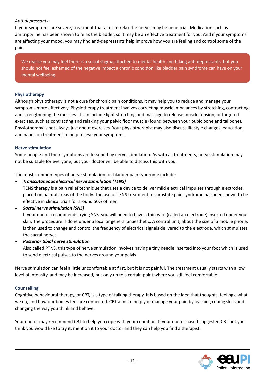#### *Anti-depressants*

If your symptoms are severe, treatment that aims to relax the nerves may be beneficial. Medication such as amitriptyline has been shown to relax the bladder, so it may be an effective treatment for you. And if your symptoms are affecting your mood, you may find anti-depressants help improve how you are feeling and control some of the pain.

We realise you may feel there is a social stigma attached to mental health and taking anti-depressants, but you should not feel ashamed of the negative impact a chronic condition like bladder pain syndrome can have on your mental wellbeing.

#### **Physiotherapy**

Although physiotherapy is not a cure for chronic pain conditions, it may help you to reduce and manage your symptoms more effectively. Physiotherapy treatment involves correcting muscle imbalances by stretching, contracting, and strengthening the muscles. It can include light stretching and massage to release muscle tension, or targeted exercises, such as contracting and relaxing your pelvic floor muscle (found between your pubic bone and tailbone). Physiotherapy is not always just about exercises. Your physiotherapist may also discuss lifestyle changes, education, and hands on treatment to help relieve your symptoms.

#### **Nerve stimulation**

Some people find their symptoms are lessened by nerve stimulation. As with all treatments, nerve stimulation may not be suitable for everyone, but your doctor will be able to discuss this with you.

The most common types of nerve stimulation for bladder pain syndrome include:

*• Transcutaneous electrical nerve stimulation (TENS)*

TENS therapy is a pain relief technique that uses a device to deliver mild electrical impulses through electrodes placed on painful areas of the body. The use of TENS treatment for prostate pain syndrome has been shown to be effective in clinical trials for around 50% of men.

#### *• Sacral nerve stimulation (SNS)*

If your doctor recommends trying SNS, you will need to have a thin wire (called an electrode) inserted under your skin. The procedure is done under a local or general anaesthetic. A control unit, about the size of a mobile phone, is then used to change and control the frequency of electrical signals delivered to the electrode, which stimulates the sacral nerves.

*• Posterior tibial nerve stimulation*

Also called PTNS, this type of nerve stimulation involves having a tiny needle inserted into your foot which is used to send electrical pulses to the nerves around your pelvis.

Nerve stimulation can feel a little uncomfortable at first, but it is not painful. The treatment usually starts with a low level of intensity, and may be increased, but only up to a certain point where you still feel comfortable.

#### **Counselling**

Cognitive behavioural therapy, or CBT, is a type of talking therapy. It is based on the idea that thoughts, feelings, what we do, and how our bodies feel are connected. CBT aims to help you manage your pain by learning coping skills and changing the way you think and behave.

Your doctor may recommend CBT to help you cope with your condition. If your doctor hasn't suggested CBT but you think you would like to try it, mention it to your doctor and they can help you find a therapist.

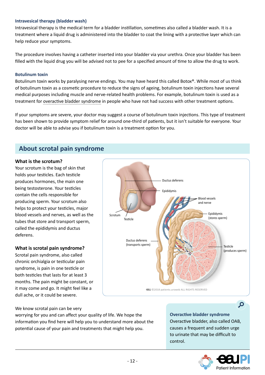#### <span id="page-11-0"></span>**Intravesical therapy (bladder wash)**

Intravesical therapy is the medical term for a bladder instillation, sometimes also called a bladder wash. It is a treatment where a liquid drug is administered into the bladder to coat the lining with a protective layer which can help reduce your symptoms.

The procedure involves having a catheter inserted into your bladder via your urethra. Once your bladder has been filled with the liquid drug you will be advised not to pee for a specified amount of time to allow the drug to work.

#### **Botulinum toxin**

Botulinum toxin works by paralysing nerve endings. You may have heard this called Botox®. While most of us think of botulinum toxin as a cosmetic procedure to reduce the signs of ageing, botulinum toxin injections have several medical purposes including muscle and nerve-related health problems. For example, botulinum toxin is used as a treatment for overactive bladder syndrome in people who have not had success with other treatment options.

If your symptoms are severe, your doctor may suggest a course of botulinum toxin injections. This type of treatment has been shown to provide symptom relief for around one-third of patients, but it isn't suitable for everyone. Your doctor will be able to advise you if botulinum toxin is a treatment option for you.

## **About scrotal pain syndrome**

#### **What is the scrotum?**

Your scrotum is the bag of skin that holds your testicles. Each testicle produces hormones, the main one being testosterone. Your testicles contain the cells responsible for producing sperm. Your scrotum also helps to protect your testicles, major blood vessels and nerves, as well as the tubes that store and transport sperm, called the epididymis and ductus deferens.

#### **What is scrotal pain syndrome?**

Scrotal pain syndrome, also called chronic orchialgia or testicular pain syndrome, is pain in one testicle or both testicles that lasts for at least 3 months. The pain might be constant, or it may come and go. It might feel like a dull ache, or it could be severe.



We know scrotal pain can be very

worrying for you and can affect your quality of life. We hope the information you find here will help you to understand more about the potential cause of your pain and treatments that might help you.

**Overactive bladder syndrome**  Overactive bladder, also called OAB, causes a frequent and sudden urge to urinate that may be difficult to control.



 $\Omega$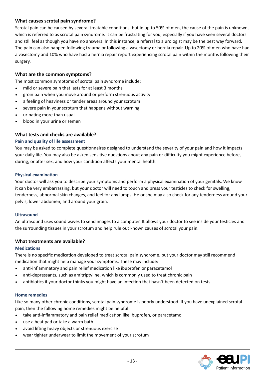#### <span id="page-12-0"></span>**What causes scrotal pain syndrome?**

Scrotal pain can be caused by several treatable conditions, but in up to 50% of men, the cause of the pain is unknown, which is referred to as scrotal pain syndrome. It can be frustrating for you, especially if you have seen several doctors and still feel as though you have no answers. In this instance, a referral to a urologist may be the best way forward. The pain can also happen following trauma or following a vasectomy or hernia repair. Up to 20% of men who have had a vasectomy and 10% who have had a hernia repair report experiencing scrotal pain within the months following their surgery.

#### **What are the common symptoms?**

The most common symptoms of scrotal pain syndrome include:

- mild or severe pain that lasts for at least 3 months
- groin pain when you move around or perform strenuous activity
- a feeling of heaviness or tender areas around your scrotum
- severe pain in your scrotum that happens without warning
- urinating more than usual
- blood in your urine or semen

#### **What tests and checks are available?**

#### **Pain and quality of life assessment**

You may be asked to complete questionnaires designed to understand the severity of your pain and how it impacts your daily life. You may also be asked sensitive questions about any pain or difficulty you might experience before, during, or after sex, and how your condition affects your mental health.

#### **Physical examination**

Your doctor will ask you to describe your symptoms and perform a physical examination of your genitals. We know it can be very embarrassing, but your doctor will need to touch and press your testicles to check for swelling, tenderness, abnormal skin changes, and feel for any lumps. He or she may also check for any tenderness around your pelvis, lower abdomen, and around your groin.

#### **Ultrasound**

An ultrasound uses sound waves to send images to a computer. It allows your doctor to see inside your testicles and the surrounding tissues in your scrotum and help rule out known causes of scrotal your pain.

#### **What treatments are available?**

#### **Medications**

There is no specific medication developed to treat scrotal pain syndrome, but your doctor may still recommend medication that might help manage your symptoms. These may include:

- anti-inflammatory and pain relief medication like ibuprofen or paracetamol
- anti-depressants, such as amitriptyline, which is commonly used to treat chronic pain
- antibiotics if your doctor thinks you might have an infection that hasn't been detected on tests

#### **Home remedies**

Like so many other chronic conditions, scrotal pain syndrome is poorly understood. If you have unexplained scrotal pain, then the following home remedies might be helpful:

- take anti-inflammatory and pain relief medication like ibuprofen, or paracetamol
- use a heat pad or take a warm bath
- avoid lifting heavy objects or strenuous exercise
- wear tighter underwear to limit the movement of your scrotum

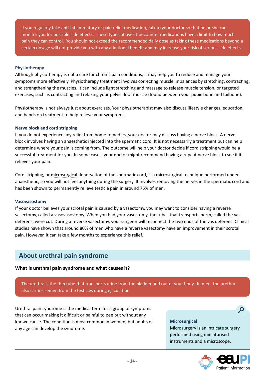<span id="page-13-0"></span>If you regularly take anti-inflammatory or pain relief medication, talk to your doctor so that he or she can monitor you for possible side effects. These types of over-the-counter medications have a limit to how much pain they can control. You should not exceed the recommended daily dose as taking these medications beyond a certain dosage will not provide you with any additional benefit and may increase your risk of serious side effects.

#### **Physiotherapy**

Although physiotherapy is not a cure for chronic pain conditions, it may help you to reduce and manage your symptoms more effectively. Physiotherapy treatment involves correcting muscle imbalances by stretching, contracting, and strengthening the muscles. It can include light stretching and massage to release muscle tension, or targeted exercises, such as contracting and relaxing your pelvic floor muscle (found between your pubic bone and tailbone).

Physiotherapy is not always just about exercises. Your physiotherapist may also discuss lifestyle changes, education, and hands on treatment to help relieve your symptoms.

#### **Nerve block and cord stripping**

If you do not experience any relief from home remedies, your doctor may discuss having a nerve block. A nerve block involves having an anaesthetic injected into the spermatic cord. It is not necessarily a treatment but can help determine where your pain is coming from. The outcome will help your doctor decide if cord stripping would be a successful treatment for you. In some cases, your doctor might recommend having a repeat nerve block to see if it relieves your pain.

Cord stripping, or microsurgical denervation of the spermatic cord, is a microsurgical technique performed under anaesthetic, so you will not feel anything during the surgery. It involves removing the nerves in the spermatic cord and has been shown to permanently relieve testicle pain in around 75% of men.

#### **Vasovasostomy**

If your doctor believes your scrotal pain is caused by a vasectomy, you may want to consider having a reverse vasectomy, called a vasovasostomy. When you had your vasectomy, the tubes that transport sperm, called the vas deferens, were cut. During a reverse vasectomy, your surgeon will reconnect the two ends of the vas deferens. Clinical studies have shown that around 80% of men who have a reverse vasectomy have an improvement in their scrotal pain. However, it can take a few months to experience this relief.

### **About urethral pain syndrome**

#### **What is urethral pain syndrome and what causes it?**

The urethra is the thin tube that transports urine from the bladder and out of your body. In men, the urethra also carries semen from the testicles during ejaculation.

Urethral pain syndrome is the medical term for a group of symptoms that can occur making it difficult or painful to pee but without any known cause. The condition is most common in women, but adults of any age can develop the syndrome.

#### **Microsurgical**

Microsurgery is an intricate surgery performed using miniaturised instruments and a microscope.



 $\overline{Q}$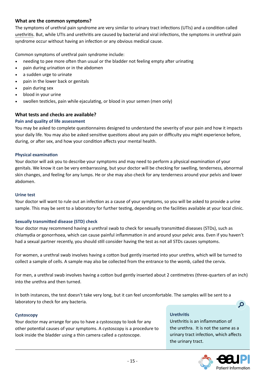#### <span id="page-14-0"></span>**What are the common symptoms?**

The symptoms of urethral pain syndrome are very similar to urinary tract infections (UTIs) and a condition called urethritis. But, while UTIs and urethritis are caused by bacterial and viral infections, the symptoms in urethral pain syndrome occur without having an infection or any obvious medical cause.

Common symptoms of urethral pain syndrome include:

- needing to pee more often than usual or the bladder not feeling empty after urinating
- pain during urination or in the abdomen
- a sudden urge to urinate
- pain in the lower back or genitals
- pain during sex
- blood in your urine
- swollen testicles, pain while ejaculating, or blood in your semen (men only)

#### **What tests and checks are available?**

#### **Pain and quality of life assessment**

You may be asked to complete questionnaires designed to understand the severity of your pain and how it impacts your daily life. You may also be asked sensitive questions about any pain or difficulty you might experience before, during, or after sex, and how your condition affects your mental health.

#### **Physical examination**

Your doctor will ask you to describe your symptoms and may need to perform a physical examination of your genitals. We know it can be very embarrassing, but your doctor will be checking for swelling, tenderness, abnormal skin changes, and feeling for any lumps. He or she may also check for any tenderness around your pelvis and lower abdomen.

#### **Urine test**

Your doctor will want to rule out an infection as a cause of your symptoms, so you will be asked to provide a urine sample. This may be sent to a laboratory for further testing, depending on the facilities available at your local clinic.

#### **Sexually transmitted disease (STD) check**

Your doctor may recommend having a urethral swab to check for sexually transmitted diseases (STDs), such as chlamydia or gonorrhoea, which can cause painful inflammation in and around your pelvic area. Even if you haven't had a sexual partner recently, you should still consider having the test as not all STDs causes symptoms.

For women, a urethral swab involves having a cotton bud gently inserted into your urethra, which will be turned to collect a sample of cells. A sample may also be collected from the entrance to the womb, called the cervix.

For men, a urethral swab involves having a cotton bud gently inserted about 2 centimetres (three-quarters of an inch) into the urethra and then turned.

In both instances, the test doesn't take very long, but it can feel uncomfortable. The samples will be sent to a laboratory to check for any bacteria.

#### **Cystoscopy**

Your doctor may arrange for you to have a cystoscopy to look for any other potential causes of your symptoms. A cystoscopy is a procedure to look inside the bladder using a thin camera called a cystoscope.

#### **Urethritis**

Urethritis is an inflammation of the urethra. It is not the same as a urinary tract infection, which affects the urinary tract.



 $\overline{Q}$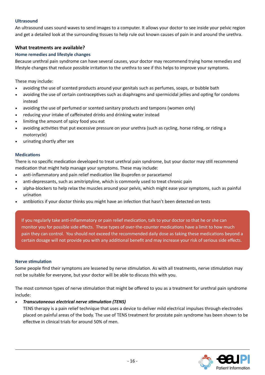#### <span id="page-15-0"></span>**Ultrasound**

An ultrasound uses sound waves to send images to a computer. It allows your doctor to see inside your pelvic region and get a detailed look at the surrounding tissues to help rule out known causes of pain in and around the urethra.

#### **What treatments are available?**

#### **Home remedies and lifestyle changes**

Because urethral pain syndrome can have several causes, your doctor may recommend trying home remedies and lifestyle changes that reduce possible irritation to the urethra to see if this helps to improve your symptoms.

These may include:

- avoiding the use of scented products around your genitals such as perfumes, soaps, or bubble bath
- avoiding the use of certain contraceptives such as diaphragms and spermicidal jellies and opting for condoms instead
- avoiding the use of perfumed or scented sanitary products and tampons (women only)
- reducing your intake of caffeinated drinks and drinking water instead
- limiting the amount of spicy food you eat
- avoiding activities that put excessive pressure on your urethra (such as cycling, horse riding, or riding a motorcycle)
- urinating shortly after sex

#### **Medications**

There is no specific medication developed to treat urethral pain syndrome, but your doctor may still recommend medication that might help manage your symptoms. These may include:

- anti-inflammatory and pain relief medication like ibuprofen or paracetamol
- anti-depressants, such as amitriptyline, which is commonly used to treat chronic pain
- alpha-blockers to help relax the muscles around your pelvis, which might ease your symptoms, such as painful urination
- antibiotics if your doctor thinks you might have an infection that hasn't been detected on tests

If you regularly take anti-inflammatory or pain relief medication, talk to your doctor so that he or she can monitor you for possible side effects. These types of over-the-counter medications have a limit to how much pain they can control. You should not exceed the recommended daily dose as taking these medications beyond a certain dosage will not provide you with any additional benefit and may increase your risk of serious side effects.

#### **Nerve stimulation**

Some people find their symptoms are lessened by nerve stimulation. As with all treatments, nerve stimulation may not be suitable for everyone, but your doctor will be able to discuss this with you.

The most common types of nerve stimulation that might be offered to you as a treatment for urethral pain syndrome include:

#### *• Transcutaneous electrical nerve stimulation (TENS)*

TENS therapy is a pain relief technique that uses a device to deliver mild electrical impulses through electrodes placed on painful areas of the body. The use of TENS treatment for prostate pain syndrome has been shown to be effective in clinical trials for around 50% of men.

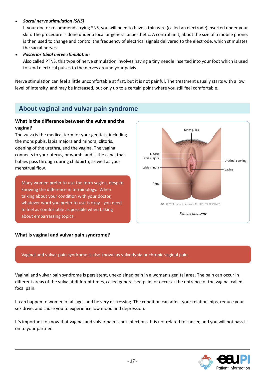#### <span id="page-16-0"></span>*• Sacral nerve stimulation (SNS)*

If your doctor recommends trying SNS, you will need to have a thin wire (called an electrode) inserted under your skin. The procedure is done under a local or general anaesthetic. A control unit, about the size of a mobile phone, is then used to change and control the frequency of electrical signals delivered to the electrode, which stimulates the sacral nerves.

#### *• Posterior tibial nerve stimulation*

Also called PTNS, this type of nerve stimulation involves having a tiny needle inserted into your foot which is used to send electrical pulses to the nerves around your pelvis.

Nerve stimulation can feel a little uncomfortable at first, but it is not painful. The treatment usually starts with a low level of intensity, and may be increased, but only up to a certain point where you still feel comfortable.

## **About vaginal and vulvar pain syndrome**

#### **What is the difference between the vulva and the vagina?**

The vulva is the medical term for your genitals, including the mons pubis, labia majora and minora, clitoris, opening of the urethra, and the vagina. The vagina connects to your uterus, or womb, and is the canal that babies pass through during childbirth, as well as your menstrual flow.

Many women prefer to use the term vagina, despite knowing the difference in terminology. When talking about your condition with your doctor, whatever word you prefer to use is okay - you need to feel as comfortable as possible when talking about embarrassing topics.



#### **What is vaginal and vulvar pain syndrome?**

#### Vaginal and vulvar pain syndrome is also known as vulvodynia or chronic vaginal pain.

Vaginal and vulvar pain syndrome is persistent, unexplained pain in a woman's genital area. The pain can occur in different areas of the vulva at different times, called generalised pain, or occur at the entrance of the vagina, called focal pain.

It can happen to women of all ages and be very distressing. The condition can affect your relationships, reduce your sex drive, and cause you to experience low mood and depression.

It's important to know that vaginal and vulvar pain is not infectious. It is not related to cancer, and you will not pass it on to your partner.

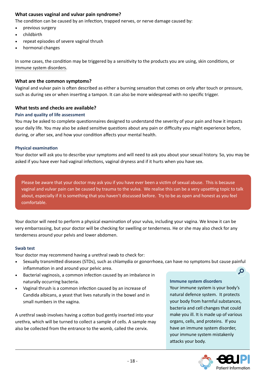#### <span id="page-17-0"></span>**What causes vaginal and vulvar pain syndrome?**

The condition can be caused by an infection, trapped nerves, or nerve damage caused by:

- previous surgery
- childbirth
- repeat episodes of severe vaginal thrush
- hormonal changes

In some cases, the condition may be triggered by a sensitivity to the products you are using, skin conditions, or immune system disorders.

#### **What are the common symptoms?**

Vaginal and vulvar pain is often described as either a burning sensation that comes on only after touch or pressure, such as during sex or when inserting a tampon. It can also be more widespread with no specific trigger.

#### **What tests and checks are available?**

#### **Pain and quality of life assessment**

You may be asked to complete questionnaires designed to understand the severity of your pain and how it impacts your daily life. You may also be asked sensitive questions about any pain or difficulty you might experience before, during, or after sex, and how your condition affects your mental health.

#### **Physical examination**

Your doctor will ask you to describe your symptoms and will need to ask you about your sexual history. So, you may be asked if you have ever had vaginal infections, vaginal dryness and if it hurts when you have sex.

Please be aware that your doctor may ask you if you have ever been a victim of sexual abuse. This is because vaginal and vulvar pain can be caused by trauma to the vulva. We realise this can be a very upsetting topic to talk about, especially if it is something that you haven't discussed before. Try to be as open and honest as you feel comfortable.

Your doctor will need to perform a physical examination of your vulva, including your vagina. We know it can be very embarrassing, but your doctor will be checking for swelling or tenderness. He or she may also check for any tenderness around your pelvis and lower abdomen.

#### **Swab test**

Your doctor may recommend having a urethral swab to check for:

- Sexually transmitted diseases (STDs), such as chlamydia or gonorrhoea, can have no symptoms but cause painful inflammation in and around your pelvic area.  $\Omega$
- Bacterial vaginosis, a common infection caused by an imbalance in naturally occurring bacteria.
- Vaginal thrush is a common infection caused by an increase of Candida albicans, a yeast that lives naturally in the bowel and in small numbers in the vagina.

A urethral swab involves having a cotton bud gently inserted into your urethra, which will be turned to collect a sample of cells. A sample may also be collected from the entrance to the womb, called the cervix.

**Immune system disorders** Your immune system is your body's natural defence system. It protects your body from harmful substances, bacteria and cell changes that could make you ill. It is made up of various organs, cells, and proteins. If you have an immune system disorder, your immune system mistakenly attacks your body.

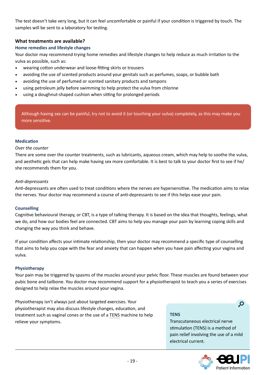<span id="page-18-0"></span>The test doesn't take very long, but it can feel uncomfortable or painful if your condition is triggered by touch. The samples will be sent to a laboratory for testing.

#### **What treatments are available?**

#### **Home remedies and lifestyle changes**

Your doctor may recommend trying home remedies and lifestyle changes to help reduce as much irritation to the vulva as possible, such as:

- wearing cotton underwear and loose-fitting skirts or trousers
- avoiding the use of scented products around your genitals such as perfumes, soaps, or bubble bath
- avoiding the use of perfumed or scented sanitary products and tampons
- using petroleum jelly before swimming to help protect the vulva from chlorine
- using a doughnut-shaped cushion when sitting for prolonged periods

Although having sex can be painful, try not to avoid it (or touching your vulva) completely, as this may make you more sensitive.

#### **Medication**

#### *Over the counter*

There are some over the counter treatments, such as lubricants, aqueous cream, which may help to soothe the vulva, and aesthetic gels that can help make having sex more comfortable. It is best to talk to your doctor first to see if he/ she recommends them for you.

#### *Anti-depressants*

Anti-depressants are often used to treat conditions where the nerves are hypersensitive. The medication aims to relax the nerves. Your doctor may recommend a course of anti-depressants to see if this helps ease your pain.

#### **Counselling**

Cognitive behavioural therapy, or CBT, is a type of talking therapy. It is based on the idea that thoughts, feelings, what we do, and how our bodies feel are connected. CBT aims to help you manage your pain by learning coping skills and changing the way you think and behave.

If your condition affects your intimate relationship, then your doctor may recommend a specific type of counselling that aims to help you cope with the fear and anxiety that can happen when you have pain affecting your vagina and vulva.

#### **Physiotherapy**

Your pain may be triggered by spasms of the muscles around your pelvic floor. These muscles are found between your pubic bone and tailbone. You doctor may recommend support for a physiotherapist to teach you a series of exercises designed to help relax the muscles around your vagina.

Physiotherapy isn't always just about targeted exercises. Your physiotherapist may also discuss lifestyle changes, education, and treatment such as vaginal cones or the use of a TENS machine to help relieve your symptoms.

#### **TENS**

Transcutaneous electrical nerve stimulation (TENS) is a method of pain relief involving the use of a mild electrical current.



 $\mathbf{Q}$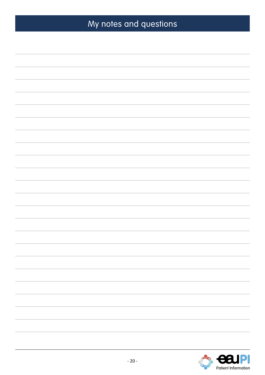# My notes and questions

<span id="page-19-0"></span>

|  | $\mathcal{L}^{\text{max}}$ . The set of $\mathcal{L}^{\text{max}}$ |
|--|--------------------------------------------------------------------|
|  |                                                                    |
|  |                                                                    |
|  |                                                                    |
|  |                                                                    |
|  |                                                                    |
|  |                                                                    |
|  |                                                                    |
|  |                                                                    |
|  |                                                                    |
|  |                                                                    |
|  |                                                                    |
|  |                                                                    |
|  |                                                                    |
|  |                                                                    |
|  |                                                                    |
|  |                                                                    |
|  |                                                                    |
|  |                                                                    |
|  |                                                                    |
|  |                                                                    |
|  |                                                                    |
|  |                                                                    |
|  |                                                                    |
|  |                                                                    |
|  |                                                                    |
|  |                                                                    |
|  |                                                                    |
|  |                                                                    |
|  |                                                                    |
|  |                                                                    |
|  |                                                                    |
|  |                                                                    |
|  |                                                                    |
|  |                                                                    |
|  |                                                                    |
|  |                                                                    |
|  |                                                                    |
|  |                                                                    |
|  |                                                                    |
|  |                                                                    |
|  |                                                                    |
|  |                                                                    |
|  |                                                                    |
|  |                                                                    |
|  |                                                                    |
|  |                                                                    |
|  |                                                                    |
|  |                                                                    |
|  |                                                                    |
|  |                                                                    |
|  |                                                                    |
|  |                                                                    |
|  |                                                                    |
|  |                                                                    |
|  |                                                                    |
|  |                                                                    |
|  |                                                                    |
|  |                                                                    |
|  |                                                                    |
|  |                                                                    |
|  |                                                                    |
|  |                                                                    |
|  |                                                                    |
|  |                                                                    |
|  |                                                                    |
|  |                                                                    |
|  |                                                                    |
|  |                                                                    |
|  |                                                                    |
|  |                                                                    |
|  |                                                                    |
|  |                                                                    |
|  |                                                                    |
|  |                                                                    |
|  |                                                                    |
|  |                                                                    |
|  |                                                                    |
|  |                                                                    |
|  |                                                                    |
|  |                                                                    |
|  |                                                                    |
|  |                                                                    |
|  |                                                                    |
|  |                                                                    |
|  |                                                                    |
|  |                                                                    |
|  |                                                                    |
|  |                                                                    |